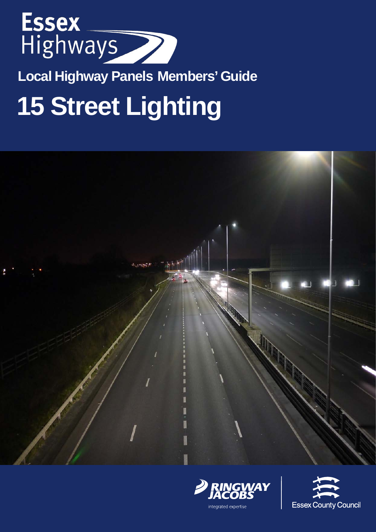

**Local Highway Panels Members' Guide**

# **15 Street Lighting**







integrated expertise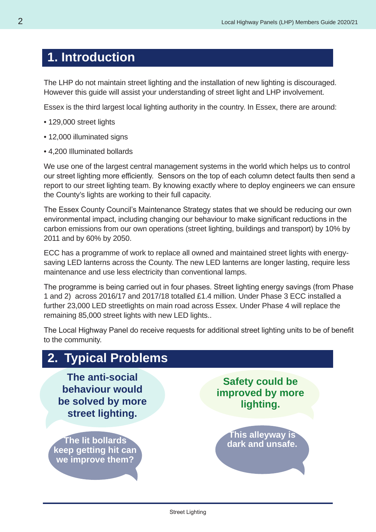### **1. Introduction**

The LHP do not maintain street lighting and the installation of new lighting is discouraged. However this guide will assist your understanding of street light and LHP involvement.

Essex is the third largest local lighting authority in the country. In Essex, there are around:

- 129,000 street lights
- 12,000 illuminated signs
- 4,200 Illuminated bollards

We use one of the largest central management systems in the world which helps us to control our street lighting more efficiently. Sensors on the top of each column detect faults then send a report to our street lighting team. By knowing exactly where to deploy engineers we can ensure the County's lights are working to their full capacity.

The Essex County Council's Maintenance Strategy states that we should be reducing our own environmental impact, including changing our behaviour to make significant reductions in the carbon emissions from our own operations (street lighting, buildings and transport) by 10% by 2011 and by 60% by 2050.

ECC has a programme of work to replace all owned and maintained street lights with energysaving LED lanterns across the County. The new LED lanterns are longer lasting, require less maintenance and use less electricity than conventional lamps.

The programme is being carried out in four phases. Street lighting energy savings (from Phase 1 and 2) across 2016/17 and 2017/18 totalled £1.4 million. Under Phase 3 ECC installed a further 23,000 LED streetlights on main road across Essex. Under Phase 4 will replace the remaining 85,000 street lights with new LED lights..

The Local Highway Panel do receive requests for additional street lighting units to be of benefit to the community.

### **2. Typical Problems**

**The anti-social behaviour would be solved by more street lighting.**

**The lit bollards keep getting hit can we improve them?**

**Safety could be improved by more lighting.**

**This alleyway is dark and unsafe.**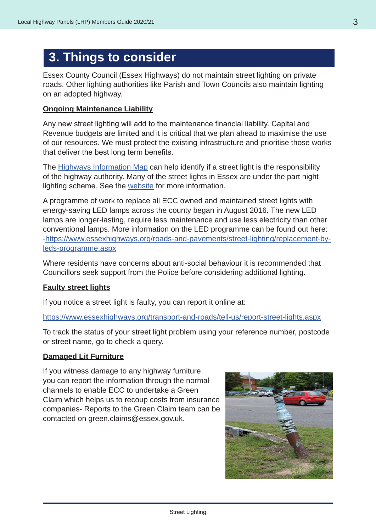### **3. Things to consider**

Essex County Council (Essex Highways) do not maintain street lighting on private roads. Other lighting authorities like Parish and Town Councils also maintain lighting on an adopted highway.

#### **Ongoing Maintenance Liability**

Any new street lighting will add to the maintenance financial liability. Capital and Revenue budgets are limited and it is critical that we plan ahead to maximise the use of our resources. We must protect the existing infrastructure and prioritise those works that deliver the best long term benefits.

The [Highways Information Map](https://www.essexhighways.org/transport-and-roads/interactive-maps-and-live-travel-information/highways-information-map.aspx) can help identify if a street light is the responsibility of the highway authority. Many of the street lights in Essex are under the part night lighting scheme. See the [website](https://www.essexhighways.org/transport-and-roads/roads-and-pavements/street-lighting.aspx) for more information.

A programme of work to replace all ECC owned and maintained street lights with energy-saving LED lamps across the county began in August 2016. The new LED lamps are longer-lasting, require less maintenance and use less electricity than other conventional lamps. More information on the LED programme can be found out here: -[https://www.essexhighways.org/roads-and-pavements/street-lighting/replacement-by](https://www.essexhighways.org/roads-and-pavements/street-lighting/replacement-by-leds-programme.aspx)[leds-programme.aspx](https://www.essexhighways.org/roads-and-pavements/street-lighting/replacement-by-leds-programme.aspx)

[Where residents have concerns about anti-social behaviour it is recommended that](https://www.essexhighways.org/roads-and-pavements/street-lighting/replacement-by-leds-programme.aspx)  [Councillors seek support from the Police before considering additional lighting.](https://www.essexhighways.org/roads-and-pavements/street-lighting/replacement-by-leds-programme.aspx)

#### **Faulty street lights**

If you notice a street light is faulty, you can report it online at:

<https://www.essexhighways.org/transport-and-roads/tell-us/report-street-lights.aspx>

To track the status of your street light problem using your reference number, postcode or street name, go to check a query.

#### **Damaged Lit Furniture**

If you witness damage to any highway furniture you can report the information through the normal channels to enable ECC to undertake a Green Claim which helps us to recoup costs from insurance companies- Reports to the Green Claim team can be contacted on green.claims@essex.gov.uk.

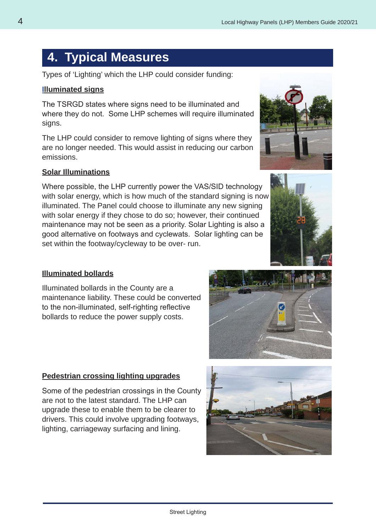### **4. Typical Measures**

Types of 'Lighting' which the LHP could consider funding:

#### **Illuminated signs**

The TSRGD states where signs need to be illuminated and where they do not. Some LHP schemes will require illuminated signs.

The LHP could consider to remove lighting of signs where they are no longer needed. This would assist in reducing our carbon emissions.

#### **Solar Illuminations**

Where possible, the LHP currently power the VAS/SID technology with solar energy, which is how much of the standard signing is now illuminated. The Panel could choose to illuminate any new signing with solar energy if they chose to do so; however, their continued maintenance may not be seen as a priority. Solar Lighting is also a good alternative on footways and cyclewats. Solar lighting can be set within the footway/cycleway to be over- run.

#### **Illuminated bollards**

Illuminated bollards in the County are a maintenance liability. These could be converted to the non-illuminated, self-righting reflective bollards to reduce the power supply costs.

### **Pedestrian crossing lighting upgrades**

Some of the pedestrian crossings in the County are not to the latest standard. The LHP can upgrade these to enable them to be clearer to drivers. This could involve upgrading footways, lighting, carriageway surfacing and lining.







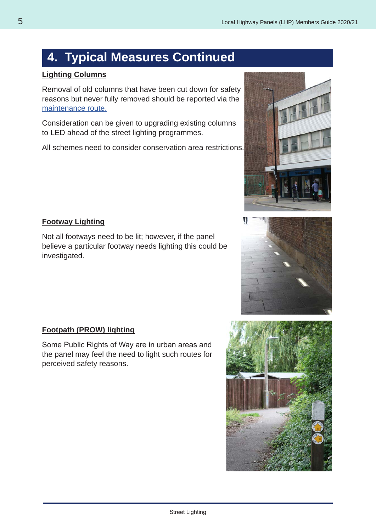### **4. Typical Measures Continued**

### **Lighting Columns**

Removal of old columns that have been cut down for safety reasons but never fully removed should be reported via the [maintenance route.](https://www.essexhighways.org/transport-and-roads/tell-us/report-all-issues.aspx)

Consideration can be given to upgrading existing columns to LED ahead of the street lighting programmes.

All schemes need to consider conservation area restrictions.

#### **Footway Lighting**

Not all footways need to be lit; however, if the panel believe a particular footway needs lighting this could be investigated.

### **Footpath (PROW) lighting**

Some Public Rights of Way are in urban areas and the panel may feel the need to light such routes for perceived safety reasons.







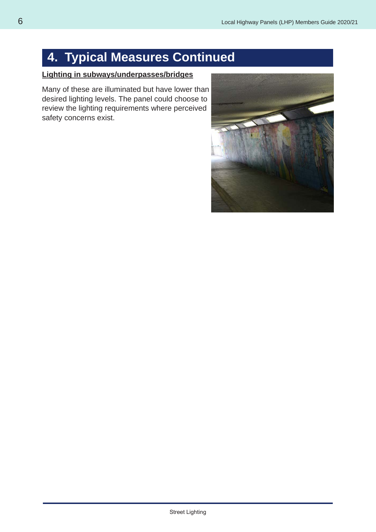### **4. Typical Measures Continued**

### **Lighting in subways/underpasses/bridges**

Many of these are illuminated but have lower than desired lighting levels. The panel could choose to review the lighting requirements where perceived safety concerns exist.

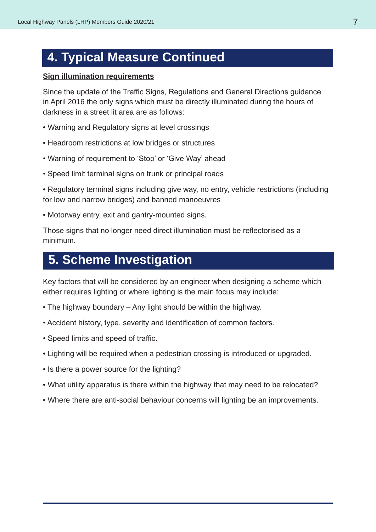### **4. Typical Measure Continued**

#### **Sign illumination requirements**

Since the update of the Traffic Signs, Regulations and General Directions guidance in April 2016 the only signs which must be directly illuminated during the hours of darkness in a street lit area are as follows:

- Warning and Regulatory signs at level crossings
- Headroom restrictions at low bridges or structures
- Warning of requirement to 'Stop' or 'Give Way' ahead
- Speed limit terminal signs on trunk or principal roads
- Regulatory terminal signs including give way, no entry, vehicle restrictions (including for low and narrow bridges) and banned manoeuvres
- Motorway entry, exit and gantry-mounted signs.

Those signs that no longer need direct illumination must be reflectorised as a minimum.

### **5. Scheme Investigation**

Key factors that will be considered by an engineer when designing a scheme which either requires lighting or where lighting is the main focus may include:

- The highway boundary Any light should be within the highway.
- Accident history, type, severity and identification of common factors.
- Speed limits and speed of traffic.
- Lighting will be required when a pedestrian crossing is introduced or upgraded.
- Is there a power source for the lighting?
- What utility apparatus is there within the highway that may need to be relocated?
- Where there are anti-social behaviour concerns will lighting be an improvements.